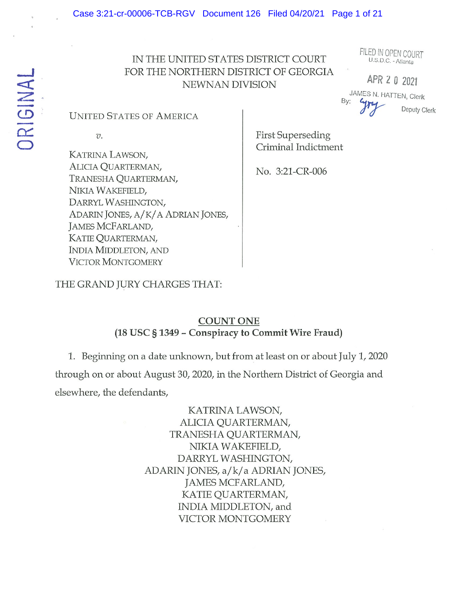# IN THE UNITED STATES DISTRICT COURT U.S.D.C. - Atlanta FOR THE NORTHERN DISTRICT OF GEORGIA NEWNAN DIVISION APR 2 0 2021

FILED IN OPEN COURT

JAMES N. HATTEN Clerk APR 2 0 2021<br>JAMES N. HATTEN, Clerk<br>By:  $\frac{Gm}{d}$  Deputy Clerk

UNITED STATES OF AMERICA

KATRINA LAWSON, ALICIA QUARTERMAN,<br>No. 3:21-CR-006 TRANESHA QUARTERMAN, NIKIA WAKEFIELD, DARRYL WASHINGTON, ADARIN JONES, A/K/A ADRIAN JONES, JAMES MCFARLAND, KATIE QUARTERMAN, INDIA MIDDLETON, AND VICTOR MONTGOMERY

v. First Superseding Criminal Indictment

THE GRAND JURY CHARGES THAT:

### COUNT ONE (18 USC § 1349 -Conspiracy to Commit Wire Fraud)

1. Beginning on <sup>a</sup> date unknown, but from at least on or about July 1, 2020 through on or about August 30, 2020, in the Northern District of Georgia and elsewhere, the defendants,

> KATRINA LAWSON, ALICIA QUARTERMAN, TRANESHA QUARTERMAN, NIKIA WAKEFIELD, DARRYL WASHINGTON, ADARIN JONES, a/k/a ADRIAN JONES, JAMES MCFARLAND, KATIE QUARTERMAN, INDIA MIDDLETON, and VICTOR MONTGOMERY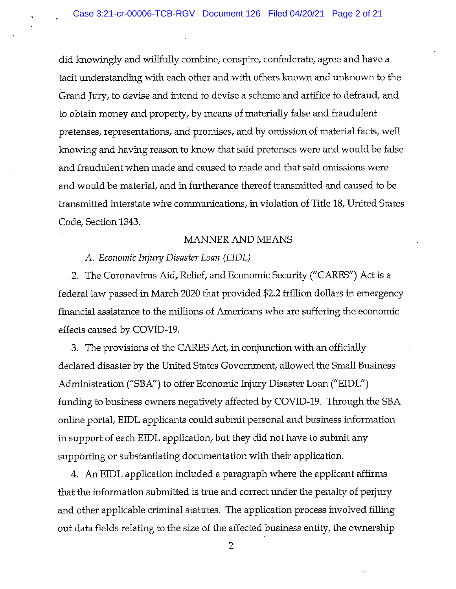did knowingly and willfully combine, conspire, confederate, agree and have <sup>a</sup> tacit understanding with each other and with others known and unknown to the Grand Jury, to devise and intend to devise a scheme and artifice to defraud, and to obtain money and property, by means of materially false and fraudulent pretenses, representations, and promises, and by omission of material facts, well knowing and having reason to know that said pretenses were and would be false and fraudulent when made and caused to made and that said omissions were and would be material, and in furtherance thereof transmitted and caused to be transmitted interstate wire communications, in violation of Title 18, United States Code, Section 1343.

#### MANNER AND MEANS

#### A. Economic Injury Disaster Loan (EIDL)

2. The Coronavirus Aid, Relief, and Economic Security ("CARES") Act is a federal law passed in March 2020 that provided \$2.2 trillion dollars in emergency financial assistance to the millions of Americans who are suffering the economic effects caused by COVID-19.

3. The provisions of the CARES Act, in conjunction with an officially declared disaster by the United States Government, allowed the Small Business Administration ("SBA") to offer Economic Injury Disaster Loan ("EIDL") funding to business owners negatively affected by COVID-19. Through the SBA online portal, EIDL applicants could submit personal and business information in support of each EIDL application, but they did not have to submit any supporting or substantiating documentation with their application.

4. An EIDL application included a paragraph where the applicant affirms that the information submitted is true and correct under the penalty of perjury and other applicable criminal statutes. The application process involved filling out data fields relating to the size of the affected business entity, the ownership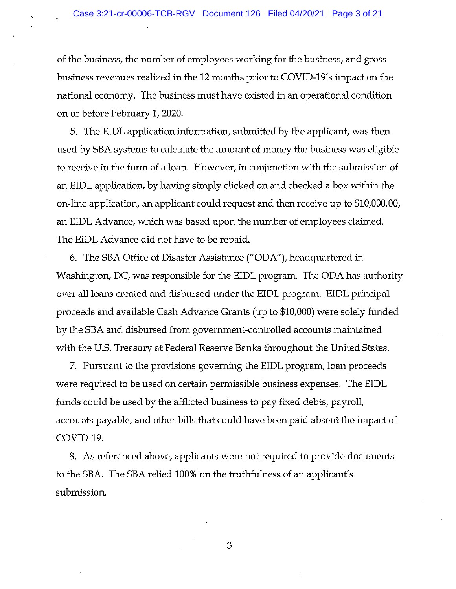of the business, the number of employees working for the business, and gross business revenues realized in the 12 months prior to COVID-19's impact on the national economy. The business must have existed in an operational condition on or before February 1,2020.

5. The EIDL application information, submitted by the applicant, was then used by SBA systems to calculate the amount of money the business was eligible to receive in the form of <sup>a</sup> loan. However, in conjunction with the submission of an EIDL application, by having simply clicked on and checked <sup>a</sup> box within the on-line application, an applicant could request and then receive up to \$10,000.00, an EIDL Advance, which was based upon the number of employees claimed. The EIDL Advance did not have to be repaid.

6. The SBA Office of Disaster Assistance ("ODA"), headquartered in Washington, DC, was responsible for the EIDL program. The ODA has authority over all loans created and disbursed under the EIDL program. EIDL principal proceeds and available Cash Advance Grants (up to \$10,000) were solely funded by the SBA and disbursed from government-controlled accounts maintained with the U.S. Treasury at Federal Reserve Banks throughout the United States.

7. Pursuant to the provisions governing the EIDL program, loan proceeds were required to be used on certain permissible business expenses. The EIDL funds could be used by the afflicted business to pay fixed debts, payroll, accounts payable, and other bills that could have been paid absent the impact of COVID-19.

8. As referenced above, applicants were not required to provide documents to the SBA. The SBA relied 100% on the truthfulness of an applicant's submission.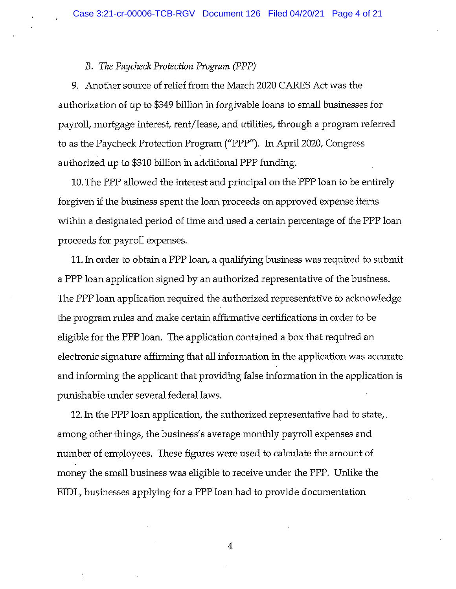#### B. The Paycheck Protection Program (PPP)

9. Another souxce of relief from the March 2020 CARES Act was the authorization of up to \$349 biffion in forgivable loans to small businesses for payroll, mortgage interest, rent/lease, and utilities, through <sup>a</sup> program referred to as the Paycheck Protection Program ("PPP"). Tn April 2020, Congress authorized up to \$310 billion in additional PPP funding.

10. The PPP allowed the interest and principal on the PPP loan to be entirely forgiven if the business spent the loan proceeds on approved expense items within a designated period of time and used <sup>a</sup> certain percentage of the PPP loan proceeds for payroll expenses.

11. In order to obtain a PPP loan, a qualifying business was required to submit a PPP loan application signed by an authorized representative of the business. The PPP loan application required the authorized representative to acknowledge the program rules and make certain affirmative certifications in order to be eligible for the PPP loan. The application contained a box that required an electronic signature affirming that all information in the application was accurate and informing the applicant that providing false information in the application is punishable under several federal laws.

12. In the PPP loan application, the authorized representative had to state,, among other things, the business's average monthly payroll expenses and number of employees. These figures were used to calculate the amount of money the small business was eligible to receive under the PPP. Unlike the EIDL, businesses applying for a PPP loan had to provide documentation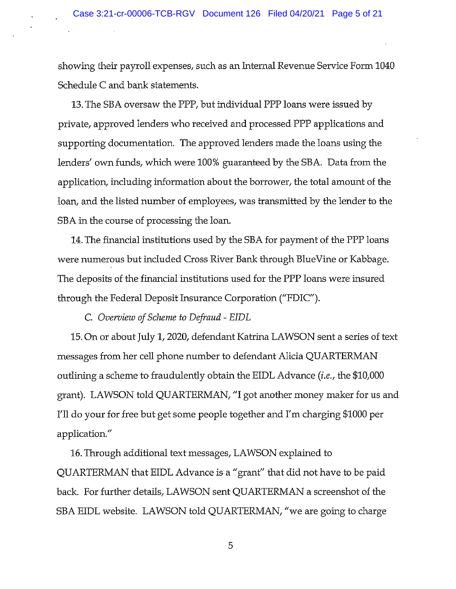showing their payroll expenses, such as an Internal Revenue Service Form 1040 Schedule C and bank statements.

13. The SBA oversaw the PPP, but individual PPP loans were issued by private, approved lenders who received and processed PPP applications and supporting documentation. The approved lenders made the loans using the lenders' own funds, which were 100% guaranteed by the SBA. Data from the application, including information about the borrower, the total amount of the loan, and the listed number of employees, was transmitted by the lender to the SBA in the course of processing the loan.

14. The financial institutions used by the SBA for payment of the PPP loans were numerous but included Cross River Bank through BlueVine or Kabbage. The deposits of the financial institutions used for the PPP loans were insured through the Federal Deposit Insurance Corporation ("EDIC").

C. Overview of Scheme to Defraud - EIDL

15. On or about July 1, 2020, defendant Katrina LAWSON sent a series of text messages from her cell phone number to defendant Alicia QUARTERMAN outlining <sup>a</sup> scheme to fraudulently obtain the EIDL Advance (i.e., the \$10,000 grant). LAWSON told QUARTERMAN, "I got another money maker for us and I'll do your for free but get some people together and I'm charging \$1000 per application."

16. Through additional text messages, LAWSON explained to QUARTERMAN that EIDL Advance is <sup>a</sup> "grant" that did not have to be paid back. For further details, LAWSON sent QUARTERMAN a screenshot of the SBA EIDL website. LAWSON told QUARTERMAN, "we are going to charge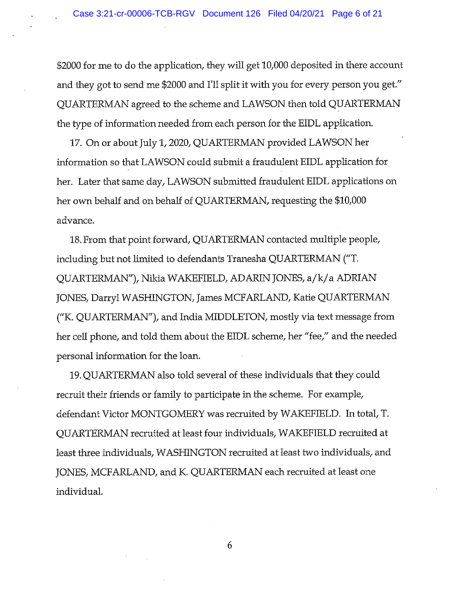\$2000 for me to do the application, they will get 10,000 deposited in there account and they got to send me \$2000 and I'll split it with you for every person you get." QUARTERMAN agreed to the scheme and LAWSON then told QUARTERMAN the type of information needed from each person for the EIDL application.

17. On or about July 1, 2020, QUARTERMAN provided LAWSON her information so that LAWSON could submit a fraudulent EIDL application for her. Later that same day, LAWSON submitted fraudulent EIDL applications on her own behalf and on behalf of QUARTERMAN, requesting the \$10,000 advance.

18. From that point forward, QUARTERMAN contacted multiple people, including but not limited to defendants Tranesha QUARTERMAN ("T. QUARTERMAN"), Nikia WAKEFIELD, ADARIN JONES, a/k/a ADRIAN JONES, Darryl WASHINGTON, James MCFARLAND, Katie QUARTERMAN ("K. QUARTERMAN"), and India MIDDLETON, mostly via text message from her cell phone, and told them about the EIDL scheme, her "fee," and the needed personal information for the loan.

19. QUARTERMAN also told several of these individuals that they could recruit their friends or family to participate in the scheme. For example, defendant Victor MONTGOMERY was recruited by WAKEFIELD. In total, T. QUARTERMAN recruited at least four individuals, WAKEFIELD recruited at least three individuals, WASHINGTON recruited at least two individuals, and JONES, MCFARLAND, and K. QUARTERMAN each recruited at least one individual.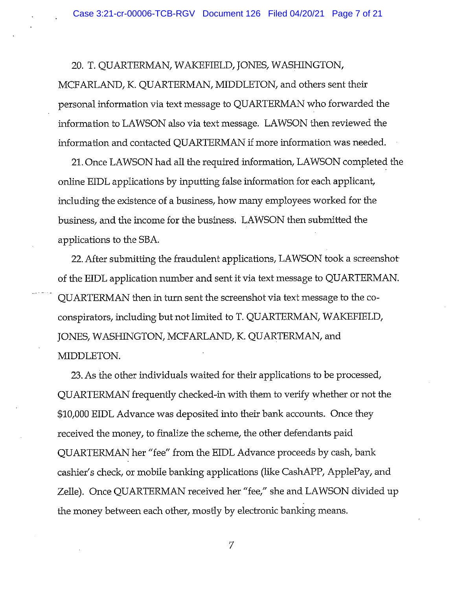20. 1. QUARTERMAN, WAKEFIELD, JONES, WASHINGTON,

MCFARLAND, K. QUARTERMAN, MIDDLETON, and others sent their personal information via text message to QUARTERMAN who forwarded the information to LAWSON also via text message. LAWSON then reviewed the information and contacted QUARTERMAN if more information was needed.

21. Once LAWSON had all the required information, LAWSON completed the online EIDL applications by inputting false information for each applicant, including the existence of a business, how many employees worked for the business, and the income for the business. LAWSON then submitted the applications to the SBA.

22. After submitting the fraudulent applications, LAWSON took a screenshot of the EIDL application number and sent it via text message to QUARTERMAN. QUARTERMAN then in turn sent the screenshot via text message to the coconspirators, including but not limited to T. QUARTERMAN, WAKEFIELD, JONES, WASHINGTON, MCFARLAND, K. QUARTERMAN, and MIDDLETON.

23. As the other individuals waited for their applications to be processed, QUARTERMAN frequently checked-in with them to verify whether or not the \$10,000 EIDL Advance was deposited into their bank accounts. Once they received the money, to finalize the scheme, the other defendants paid QUARTERMAN her "fee" from the EIDL Advance proceeds by cash, bank cashier's check, or mobile banking applications (like CashAPP, ApplePay, and Zelle). Once QUARTERMAN received her "fee," she and LAWSON divided up the money between each other, mostly by electronic banking means.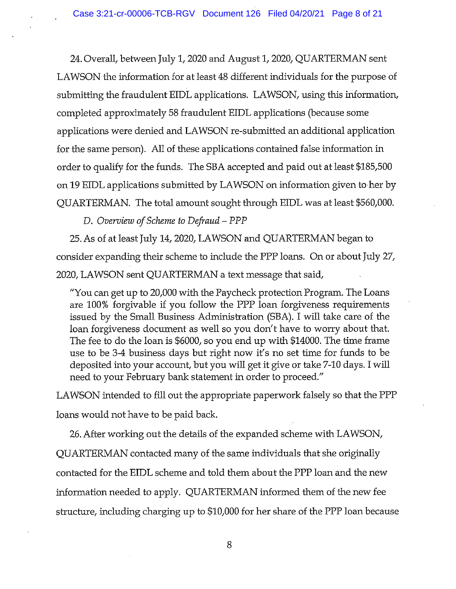24. Overall, between July 1, 2020 and August 1, 2020, QUARTERMAN sent LAWSON the information for at least 48 different individuals for the purpose of submitting the fraudulent EIDL applications. LAWSON, using this information, completed approximately 58 fraudulent EIDL applications (because some applications were denied and LAWSON re-submitted an additional application for the same person). All of these applications contained false information in order to qualify for the funds. The SBA accepted and paid out at least \$185,500 on 19 EIDL applications submitted by LAWSON on information given to her by QUARTERMAN. The total amount sought through EIUL was at least \$560,000.

D. Overview of Scheme to Defraud – PPP

25. As of at least July 14, 2020, LAWSON and QUARTERMAN began to consider expanding their scheme to include the PPP loans. On or about July 27, 2020, LAWSON sent QUARTERMAN a text message that said,

"You can get up to 20,000 with the Paycheck protection Program. The Loans are 100% forgivable if you follow the PPP loan forgiveness requirements issued by the Small Business Administration (SBA). I wifi take care of the loan forgiveness document as well so you don't have to worry about that. The fee to do the loan is \$6000, so you end up with \$14000. The time frame use to be 3-4 business days but right now it's no set time for funds to be deposited into your account, but you will get it give or take 7-10 days. I will need to your February bank statement in order to proceed."

LAWSON intended to fill out the appropriate paperwork falsely so that the PPP loans would not have to be paid back.

26. After working out the details of the expanded scheme with LAWSON, QUARTERMAN contacted many of the same individuals that she originally contacted for the EIDL scheme and told them about the PPP loan and the new information needed to apply. QUARTERMAN informed them of the new fee structure, including charging up to \$10,000 for her share of the PPP loan because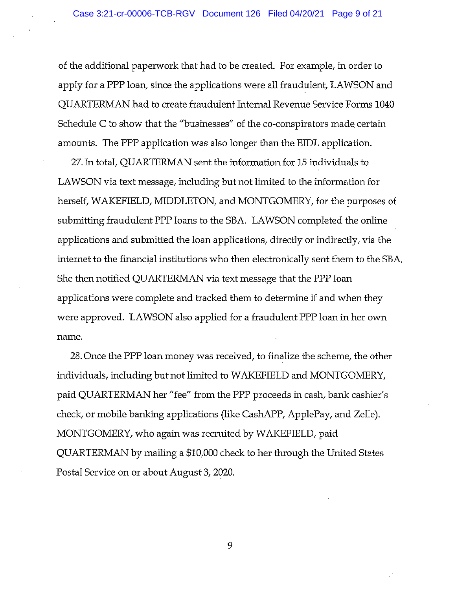of the additional paperwork that had to be created. For example, in order to apply for a PPP loan, since the applications were all fraudulent, LAWSON and QUARTERMAN had to create fraudulent Internal Revenue Service Forms 1040 Schedule C to show that the "businesses" of the co-conspirators made certain amounts. The PPP application was also longer than the EIDL application.

27. In total, QUARTERMAN sent the information for 15 individuals to LAWSON via text message, including but not limited to the information for herself, WAKEFIELD, MIDDLETON, and MONTGOMERY, for the purposes of submitting fraudulent PPP loans to the SBA. LAWSON completed the online applications and submitted the loan applications, directly or indirectly, via the internet to the financial institutions who then electronically sent them to the SBA. She then notified QUARTERMAN via text message that the PPP loan applications were complete and tracked them to determine if and when they were approved. LAWSON also applied for a fraudulent PPP loan in her own name.

28. Once the PPP loan money was received, to finalize the scheme, the other individuals, including but not limited to WAKEFIELD and MONTGOMERY, paid QUARTERMAN her "fee" from the PPP proceeds in cash, bank cashier's check, or mobile banking applications (like CashAPP, ApplePay, and Zelle). MONTGOMERY, who again was recruited by WAKEFIELD, paid QUARTERMAN by mailing a \$10,000 check to her through the United States Postal Service on or about August 3, 2020.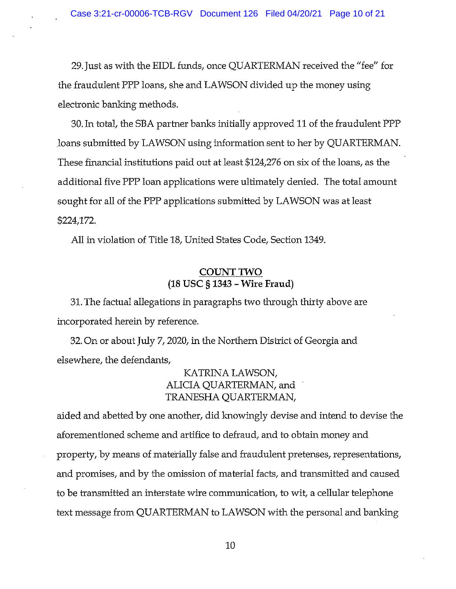29. Just as with the EIDL funds, once QUARTERMAN received the "fee" for the fraudulent PPP loans, she and LAWSON divided up the money using electronic banking methods.

30. In total, the SBA partner banks initially approved 11 of the fraudulent PPP loans submitted by LAWSON using information sent to her by QUARTERMAN. These financial institutions paid out at least \$124,276 on six of the loans, as the additional five PPP loan applications were ultimately denied. The total amount sought for all of the FPP applications submitted by LAWSON was at least \$224,172.

All in violation of Title 18, United States Code, Section 1349.

# COUNT TWO (18 Usc § 1343 — Wire Fraud)

31. The factual allegations in paragraphs two through thirty above are incorporated herein by reference.

32. On or about July 7, 2020, in the Northern District of Georgia and elsewhere, the defendants,

> KATRINA LAWSON, ALICIA QUARTERMAN, and TRANESHA QUARTERMAN,

aided and abetted by one another, did knowingly devise and intend to devise the aforementioned scheme and artifice to defraud, and to obtain money and property, by means of materially false and fraudulent pretenses, representations, and promises, and by the omission of material facts, and transmitted and caused to be transmitted an interstate wire communication, to wit, a cellular telephone text message from QUARTERMAN to LAWSON with the personal and banking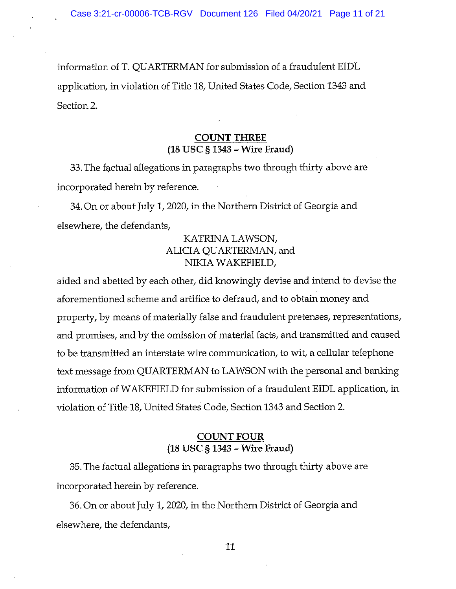information of T. QUARTERMAN for submission of a fraudulent EIDL application, in violation of Title 18, United States Code, Section 1343 and Section 2.

## COUNT THREE (18 USC § 1343 — Wire Fraud)

33. The factual allegations in paragraphs two through thirty above are incorporated herein by reference.

34. On or about July 1, 2020, in the Northern District of Georgia and elsewhere, the defendants,

# KATRINA LAWSON, ALICIA QUARIERMAN, and NIKIA WAKEFIELD,

aided and abetted by each other, did knowingly devise and intend to devise the aforementioned scheme and artifice to defraud, and to obtain money and property, by means of materially false and fraudulent pretenses, representations, and promises, and by the omission of material facts, and transmitted and caused to be transmitted an interstate wire communication, to wit, a cellular telephone text message from QUARTERMAN to LAWSON with the personal and banking information of WAKEFIELD for submission of <sup>a</sup> fraudulent EIDL application, in violation of Title 18, United States Code, Section 1343 and Section 2.

#### COUNT FOUR (18 USC § 1343 — Wire Fraud)

35. The factual allegations in paragraphs two through thirty above are incorporated herein by reference.

36. On or about July 1, 2020, in the Northern District of Georgia and elsewhere, the defendants,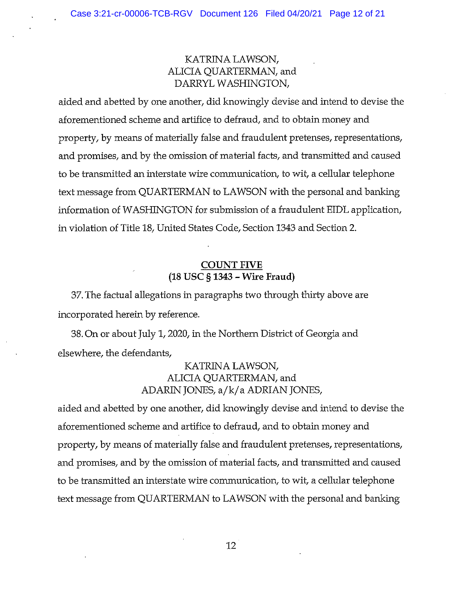## KATRINA LAWSON, ALICIA QUARTERMAN, and DARRYL WASHINGTON,

aided and abetted by one another, did knowingly devise and intend to devise the aforementioned scheme and artifice to defraud, and to obtain money and property, by means of materially false and fraudulent pretenses, representations, and promises, and by the omission of material facts, and transmitted and caused to be transmitted an interstate wire communication, to wit, <sup>a</sup> cellular telephone text message from QUARTERMAN to LAWSON with the personal and banking information of WASHINGTON for submission of a fraudulent EIDL application, in violation of Title 18, United States Code, Section 1343 and Section 2.

## COUNT FIVE (18 USC § 1343 — Wire Fraud)

37. The factual allegations in paragraphs two through thirty above are incorporated herein by reference.

38. On or about July 1, 2020, in the Northern District of Georgia and elsewhere, the defendants,

# KATRINA LAWSON, ALICIA QUARTERMAN, and ADARIN JONES, a/k/a ADRIAN JONES,

aided and abetted by one another, did knowingly devise and intend to devise the aforementioned scheme and artifice to defraud, and to obtain money and property, by means of materially false and fraudulent pretenses, representations, and promises, and by the omission of material facts, and transmitted and caused to be transmitted an interstate wire communication, to wit, <sup>a</sup> cellular telephone text message from QUARTERMAN to LAWSON with the personal and banking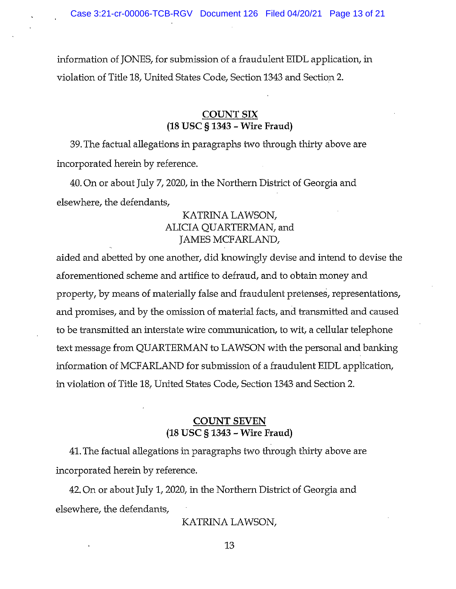information of JONES, for submission of a fraudulent EIDL application, in violation of Title 18, United States Code, Section 1343 and Section 2.

### COUNT SIX (18 USC § 1343 — Wire Fraud)

39. The factual allegations in paragraphs two through thirty above are incorporated herein by reference.

40. On or about July 7, 2020, in the Northern District of Georgia and elsewhere, the defendants,

## KATRINA LAWSON, ALICIA QUARTERMAN, and JAMES MCFARLAND,

aided and abetted by one another, did knowingly devise and intend to devise the aforementioned scheme and artifice to defraud, and to obtain money and property, by means of materially false and fraudulent pretenses, representations, and promises, and by the omission of material facts, and transmitted and caused to be transmitted an interstate wire communication, to wit, a cellular telephone text message from QUARTERMAN to LAWSON with the personal and banking information of MCFARLAND for submission of <sup>a</sup> fraudulent EIDL application, in violation of Title 18, United States Code, Section 1343 and Section 2.

### COUNT SEVEN (18 USC § 1343 — Wire Fraud)

41. The factual allegations in paragraphs two through thirty above are incorporated herein by reference.

42. On or about July 1, 2020, in the Northern District of Georgia and elsewhere, the defendants,

KATRINA LAWSON,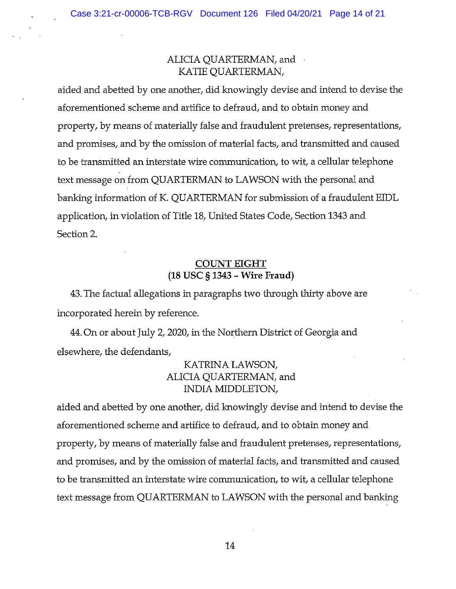## ALICIA QUARTERMAN, and KATIE QUARTERMAN,

aided and abetted by one another, did knowingly devise and intend to devise the aforementioned scheme and artifice to defraud, and to obtain money and property, by means of materially false and fraudulent pretenses, representations, and promises, and by the omission of material facts, and transmitted and caused to be transmitted an interstate wire communication, to wit, <sup>a</sup> cellular telephone text message on from QUARTERMAN to LAWSON with the personal and banking information of K. QUARTERMAN for submission of a fraudulent EIDL application, in violation of Title 18, United States Code, Section 1343 and Section 2.

## COUNT EIGHT (18 Usc § 1343 — Wire Fraud)

43. The factual allegations in paragraphs two through thirty above are incorporated herein by reference.

44. On or about July 2, 2020, in the Northern District of Georgia and elsewhere, the defendants,

# KATRINA LAWSON, ALICIA QUARTERMAN, and INDIA MIDDLETON,

aided and abetted by one another, did knowingly devise and intend to devise the aforementioned scheme and artifice to defraud, and to obtain money and property, by means of materially false and fraudulent pretenses, representations, and promises, and by the omission of material facts, and transmitted and caused to be transmitted an interstate wire communication, to wit, <sup>a</sup> cellular telephone text message from QUARTERMAN to LAWSON with the personal and banking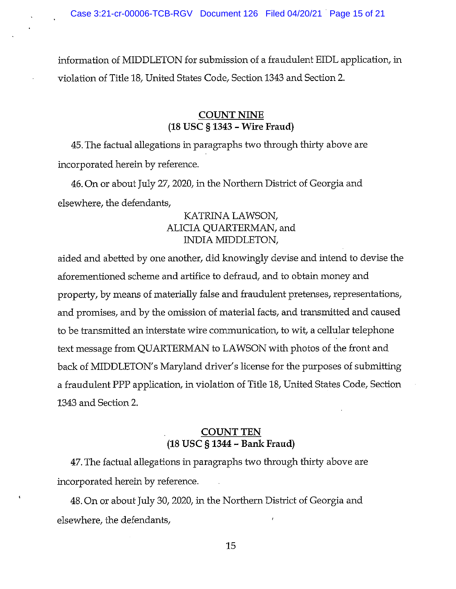information of MIDDLETON for submission of a fraudulent EIDL application, in violation of Title 18, United States Code, Section 1343 and Section 2.

### COUNT NINE (18 USC § 1343 — Wire Fraud)

45. The factual allegations in paragraphs two through thirty above are incorporated herein by reference.

46. On or about July 27, 2020, in the Northern District of Georgia and elsewhere, the defendants,

# KATRINA LAWSON, ALICIA QUARTERMAN, and INDIA MIDDLETON,

aided and abetted by one another, did knowingly devise and intend to devise the aforementioned scheme and artifice to defraud, and to obtain money and property, by means of materially false and fraudulent pretenses, representations, and promises, and by the omission of material facts, and transmitted and caused to be transmitted an interstate wire communication, to wit, <sup>a</sup> cellular telephone text message from QUARTERMAN to LAWSON with photos of the front and back of MIDDLETON's Maryland driver's license for the purposes of submitting a fraudulent PPP application, in violation of Title 18, United States Code, Section 1343 and Section 2.

### COUNT TEN (18 USC § 1344 — Bank Fraud)

47. The factual allegations in paragraphs two through thirty above are incorporated herein by reference.

48. On or about July 30, 2020, in the Northern District of Georgia and elsewhere, the defendants,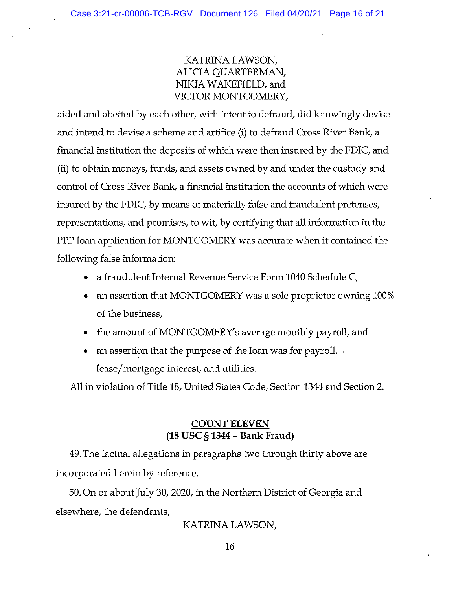KATRINA LAWSON, ALICIA QUARTERMAN, NIKIA WAKEFIELD, and WCTOR MONTGOMERY,

aided and abetted by each other, with intent to defraud, did knowingly devise and intend to devise a scheme and artifice (i) to defraud Cross River Bank, a financial institution the deposits of which were then insured by the FDIC, and (ii) to obtain moneys, funds, and assets owned by and under the custody and control of Cross River Bank, a financial institution the accounts of which were insured by the FDIC, by means of materially false and fraudulent pretenses, representations, and promises, to wit, by certifying that all information in the PPP loan application for MONTGOMERY was accurate when it contained the following false information:

- a fraudulent Internal Revenue Service Form 1040 Schedule C,
- an assertion that MONTGOMERY was a sole proprietor owning 100% of the business,
- the amount of MONTGOMERY's average monthly payroll, and
- an assertion that the purpose of the loan was for payroll, lease/mortgage interest, and utilities.

All in violation of Title 18, United States Code, Section 1344 and Section 2.

## COUNT ELEVEN (18 Usc § 1344 — Bank Fraud)

49. The factual allegations in paragraphs two through thirty above are incorporated herein by reference.

50. On or about July 30, 2020, in the Northern District of Georgia and elsewhere, the defendants,

KATRINA LAWSON,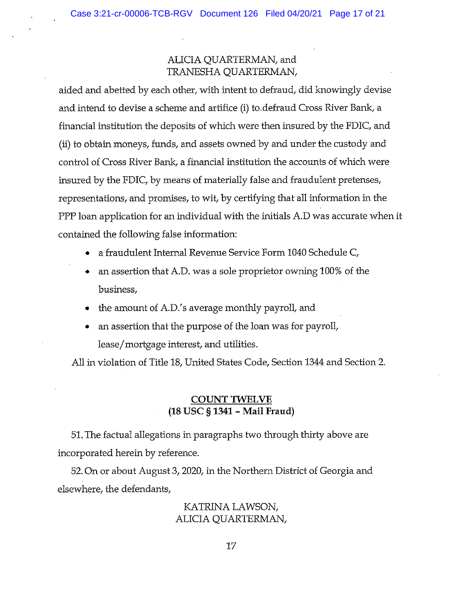# ALICIA QUARTERMAN, and TRANESHA QUARTERMAN,

aided and abetted by each other, with intent to defraud, did knowingly devise and intend to devise a scheme and artifice (i) to.defraud Cross River Bank, a financial institution the deposits of which were then insured by the FDIC, and (ii) to obtain moneys, funds, and assets owned by and under the custody and control of Cross River Bank, a financial institution the accounts of which were insured by the FDIC, by means of materially false and fraudulent pretenses, representations, and promises, to wit, by certifying that all information in the PPP loan application for an individual with the initials A.D was accurate when it contained the following false information:

- a fraudulent Internal Revenue Service Form 1040 Schedule C,
- an assertion that A.D. was a sole proprietor owning 100% of the business,
- the amount of A.D.'s average monthly payroll, and
- an assertion that the purpose of the loan was for payroll, lease/mortgage interest, and utilities.

All in violation of Title 18, United States Code, Section 1344 and Section 2.

# COUNT TWELVE (18 Usc § 1341 — Mail Fraud)

51, The factual allegations in paragraphs two through thirty above are incorporated herein by reference.

52. On or about August 3, 2020, in the Northern District of Georgia and elsewhere, the defendants,

## KATRINA LAWSON, ALICIA QUARTERMAN,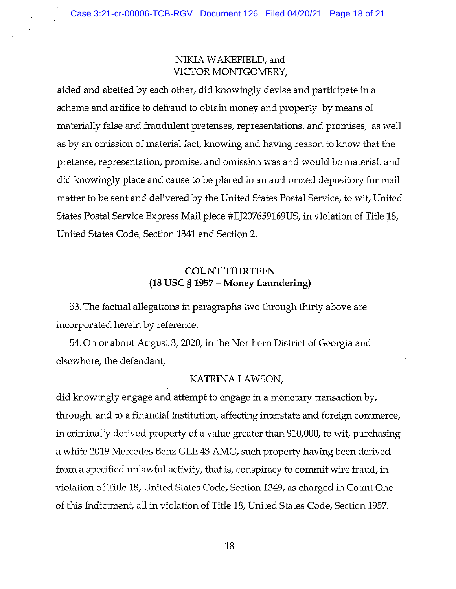# NIKIA WAKEFIELD, and VICTOR MONTGOMERY,

aided and abetted by each other, did knowingly devise and participate in a scheme and artifice to defraud to obtain money and property by means of materially false and fraudulent pretenses, representations, and promises, as well as by an omission of material fact, knowing and having reason to know that the pretense, representation, promise, and omission was and would be material, and did knowingly place and cause to be placed in an authorized depository for mail matter to be sent and delivered by the United States Postal Service, to wit, United States Postal Service Express Mail piece #EJ207659169US, in violation of Title 18, United States Code, Section 1341 and Section 2.

# COUNT THIRTEEN (18 USC § <sup>1957</sup> - Money Laundering)

53. The factual allegations in paragraphs two through thirty above are incorporated herein by reference.

54. On or about August 3, 2020, in the Northern District of Georgia and elsewhere, the defendant,

#### KATRINA LAWSON,

did knowingly engage and attempt to engage in a monetary transaction by, through, and to a financial institution, affecting interstate and foreign commerce, in criminally derived property of <sup>a</sup> value greater than \$10,000, to wit, purchasing a white 2019 Mercedes Benz GLE 43 AMG, such property having been derived from a specified unlawful activity, that is, conspiracy to commit wire fraud, in violation of Title 18, United States Code, Section 1349, as charged in Count One of this Indictment, all in violation of Title 18, United States Code, Section 1957.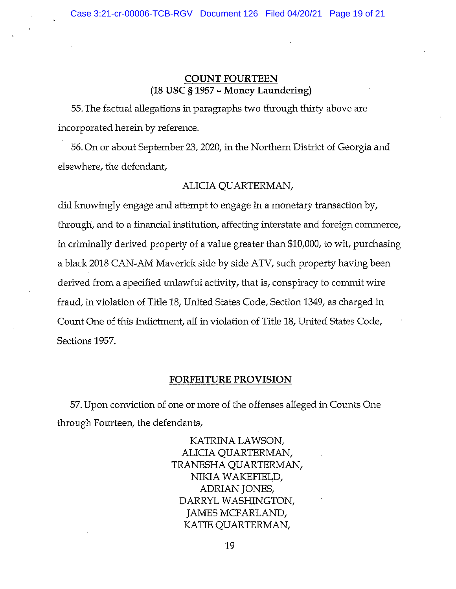## COUNT FOURTEEN (18 USC § 1957 - Money Laundering)

55. The factual allegations in paragraphs two through thirty above are incorporated herein by reference.

56. On or about September 23, 2020, in the Northern District of Georgia and elsewhere, the defendant,

#### ALICIA QUARTERMAN,

did knowingly engage and attempt to engage in <sup>a</sup> monetary transaction by, through, and to a financial institution, affecting interstate and foreign commerce, in criminally derived property of a value greater than \$10,000, to wit, purchasing a black 2018 CAN-AM Maverick side by side ATV, such property having been derived from <sup>a</sup> specified unlawful activity, that is, conspiracy to commit wire fraud, in violation of Title 18, United States Code, Section 1349, as charged in Count One of this Indictment, all in violation of Title 18, United States Code, Sections 1957.

#### FORFEITURE PROVISION

57. Upon conviction of one or more of the offenses alleged in Counts One through Fourteen, the defendants,

> KATRINA LAWSON, ALICIA QUARTERMAN, TRANESHA QUARTERMAN, NIKIA WAKEFIELD, ADRIAN JONES, DARRYL WASHINGTON, JAMES MCFARLAND, KATIE QUARTERMAN,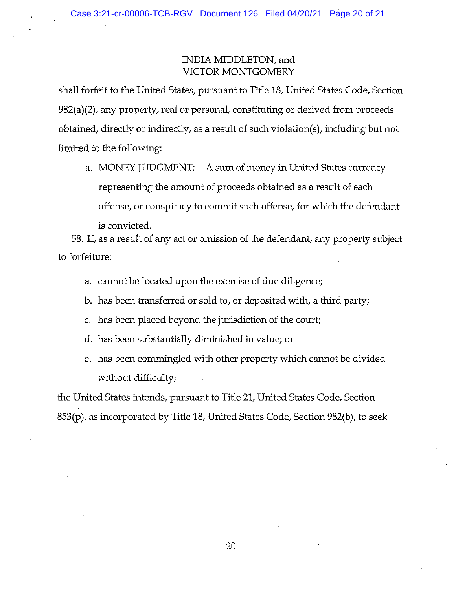## INDIA MIDDLETON, and VICTOR MONTGOMERY

shall forfeit to the United States, pursuant to Title 18, United States Code, Section 982(a) (2), any property, real or personal, constituting or derived from proceeds obtained, directly or indirectly, as a result of such violation(s), including but not limited to the following:

a. MONEY JUDGMENT: A sum of money in United States currency representing the amount of proceeds obtained as a result of each offense, or conspiracy to commit such offense, for which the defendant is convicted.

58. If, as a result of any act or omission of the defendant, any property subject to forfeiture:

- a. cannot be located upon the exercise of due diligence;
- b. has been transferred or sold to, or deposited with, <sup>a</sup> third party;
- c. has been placed beyond the jurisdiction of the court;
- d. has been substantially diminished in value; or
- e. has been commingled with other property which cannot be divided without difficulty;

the United States intends, pursuant to Title 21, United States Code, Section 853(p), as incorporated by Title 18, United States Code, Section 982(b), to seek